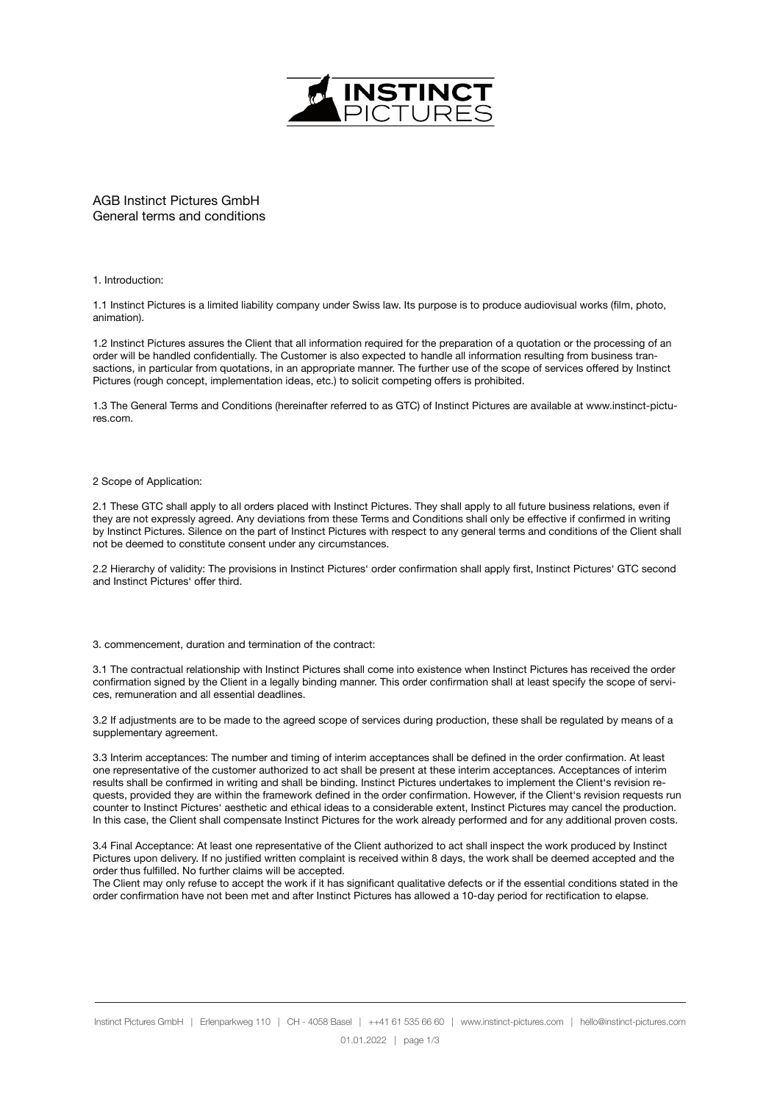

AGB Instinct Pictures GmbH General terms and conditions

# 1. Introduction:

1.1 Instinct Pictures is a limited liability company under Swiss law. Its purpose is to produce audiovisual works (film, photo, animation).

1.2 Instinct Pictures assures the Client that all information required for the preparation of a quotation or the processing of an order will be handled confidentially. The Customer is also expected to handle all information resulting from business transactions, in particular from quotations, in an appropriate manner. The further use of the scope of services offered by Instinct Pictures (rough concept, implementation ideas, etc.) to solicit competing offers is prohibited.

1.3 The General Terms and Conditions (hereinafter referred to as GTC) of Instinct Pictures are available at www.instinct-pictures.com.

# 2 Scope of Application:

2.1 These GTC shall apply to all orders placed with Instinct Pictures. They shall apply to all future business relations, even if they are not expressly agreed. Any deviations from these Terms and Conditions shall only be effective if confirmed in writing by Instinct Pictures. Silence on the part of Instinct Pictures with respect to any general terms and conditions of the Client shall not be deemed to constitute consent under any circumstances.

2.2 Hierarchy of validity: The provisions in Instinct Pictures' order confirmation shall apply first, Instinct Pictures' GTC second and Instinct Pictures' offer third.

#### 3. commencement, duration and termination of the contract:

3.1 The contractual relationship with Instinct Pictures shall come into existence when Instinct Pictures has received the order confirmation signed by the Client in a legally binding manner. This order confirmation shall at least specify the scope of services, remuneration and all essential deadlines.

3.2 If adjustments are to be made to the agreed scope of services during production, these shall be regulated by means of a supplementary agreement.

3.3 Interim acceptances: The number and timing of interim acceptances shall be defined in the order confirmation. At least one representative of the customer authorized to act shall be present at these interim acceptances. Acceptances of interim results shall be confirmed in writing and shall be binding. Instinct Pictures undertakes to implement the Client's revision requests, provided they are within the framework defined in the order confirmation. However, if the Client's revision requests run counter to Instinct Pictures' aesthetic and ethical ideas to a considerable extent, Instinct Pictures may cancel the production. In this case, the Client shall compensate Instinct Pictures for the work already performed and for any additional proven costs.

3.4 Final Acceptance: At least one representative of the Client authorized to act shall inspect the work produced by Instinct Pictures upon delivery. If no justified written complaint is received within 8 days, the work shall be deemed accepted and the order thus fulfilled. No further claims will be accepted.

The Client may only refuse to accept the work if it has significant qualitative defects or if the essential conditions stated in the order confirmation have not been met and after Instinct Pictures has allowed a 10-day period for rectification to elapse.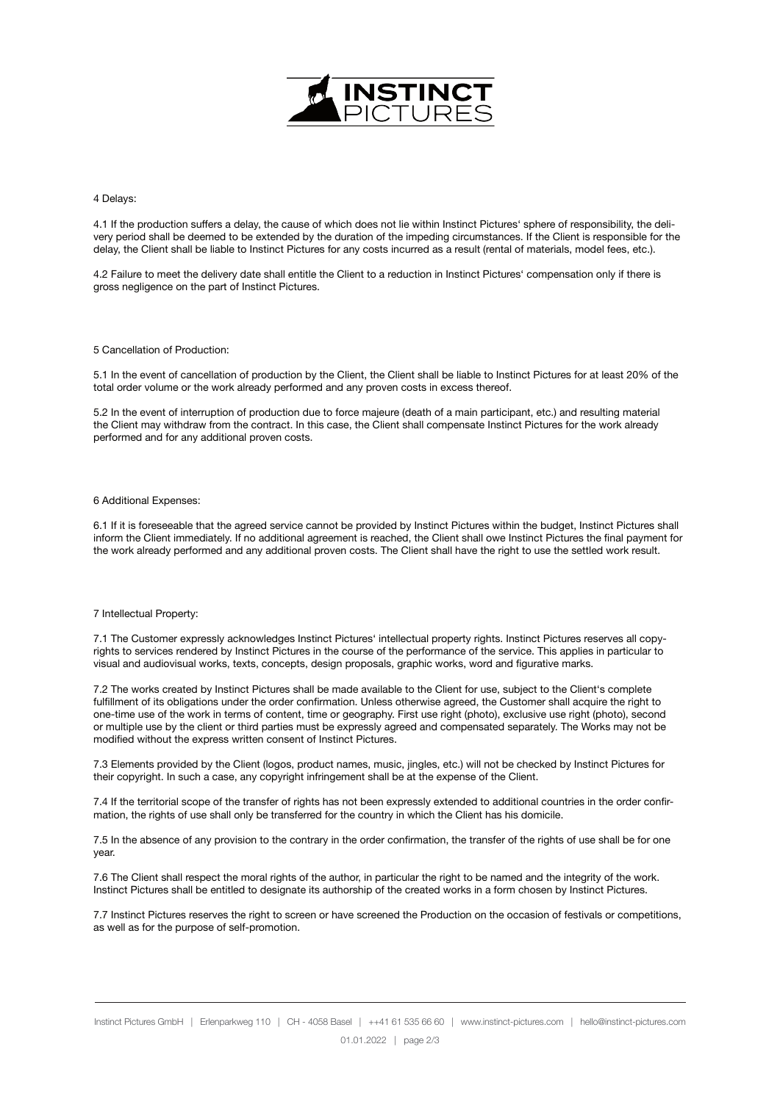

## 4 Delays:

4.1 If the production suffers a delay, the cause of which does not lie within Instinct Pictures' sphere of responsibility, the delivery period shall be deemed to be extended by the duration of the impeding circumstances. If the Client is responsible for the delay, the Client shall be liable to Instinct Pictures for any costs incurred as a result (rental of materials, model fees, etc.).

4.2 Failure to meet the delivery date shall entitle the Client to a reduction in Instinct Pictures' compensation only if there is gross negligence on the part of Instinct Pictures.

## 5 Cancellation of Production:

5.1 In the event of cancellation of production by the Client, the Client shall be liable to Instinct Pictures for at least 20% of the total order volume or the work already performed and any proven costs in excess thereof.

5.2 In the event of interruption of production due to force majeure (death of a main participant, etc.) and resulting material the Client may withdraw from the contract. In this case, the Client shall compensate Instinct Pictures for the work already performed and for any additional proven costs.

# 6 Additional Expenses:

6.1 If it is foreseeable that the agreed service cannot be provided by Instinct Pictures within the budget, Instinct Pictures shall inform the Client immediately. If no additional agreement is reached, the Client shall owe Instinct Pictures the final payment for the work already performed and any additional proven costs. The Client shall have the right to use the settled work result.

#### 7 Intellectual Property:

7.1 The Customer expressly acknowledges Instinct Pictures' intellectual property rights. Instinct Pictures reserves all copyrights to services rendered by Instinct Pictures in the course of the performance of the service. This applies in particular to visual and audiovisual works, texts, concepts, design proposals, graphic works, word and figurative marks.

7.2 The works created by Instinct Pictures shall be made available to the Client for use, subject to the Client's complete fulfillment of its obligations under the order confirmation. Unless otherwise agreed, the Customer shall acquire the right to one-time use of the work in terms of content, time or geography. First use right (photo), exclusive use right (photo), second or multiple use by the client or third parties must be expressly agreed and compensated separately. The Works may not be modified without the express written consent of Instinct Pictures.

7.3 Elements provided by the Client (logos, product names, music, jingles, etc.) will not be checked by Instinct Pictures for their copyright. In such a case, any copyright infringement shall be at the expense of the Client.

7.4 If the territorial scope of the transfer of rights has not been expressly extended to additional countries in the order confirmation, the rights of use shall only be transferred for the country in which the Client has his domicile.

7.5 In the absence of any provision to the contrary in the order confirmation, the transfer of the rights of use shall be for one year.

7.6 The Client shall respect the moral rights of the author, in particular the right to be named and the integrity of the work. Instinct Pictures shall be entitled to designate its authorship of the created works in a form chosen by Instinct Pictures.

7.7 Instinct Pictures reserves the right to screen or have screened the Production on the occasion of festivals or competitions, as well as for the purpose of self-promotion.